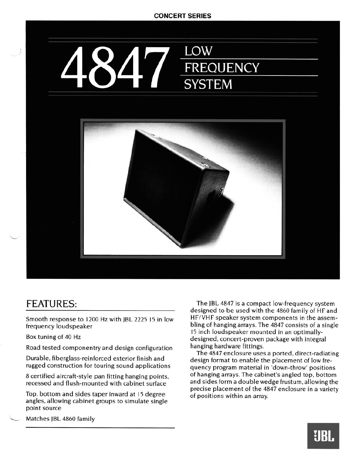## **CONCERT SERIES**





## FEATURES:

**Smooth response to 1200 Hz with JBL 2225 15 in low frequency loudspeaker** 

**Box tuning of 40 Hz** 

**Road tested componentry and design configuration** 

**Durable, fiberglass-reinforced exterior finish and rugged construction for touring sound applications** 

**8 certified aircraft-style pan fitting hanging points, recessed and flush-mounted with cabinet surface** 

**Top, bottom and sides taper inward at 15 degree angles, allowing cabinet groups to simulate single point source** 

**L Matches JBL 4860 family** 

**The JBL 4847 is a compact low-frequency system designed to be used with the 4860 family of HF and HF/VHF speaker system components in the assembling of hanging arrays. The 4847 consists of a single I5 inch loudspeaker mounted in an optimallydesigned, concert-proven package with integral hanging hardware fittings.** 

**The 4847 enclosure uses a ported, direct-radiating design format to enable the placement of low frequency program material in 'down-throw' positions of hanging arrays. The cabinet's angled top, bottom and sides form a double wedge frustum, allowing the precise placement of the 4847 enclosure in a variety of positions within an array.**